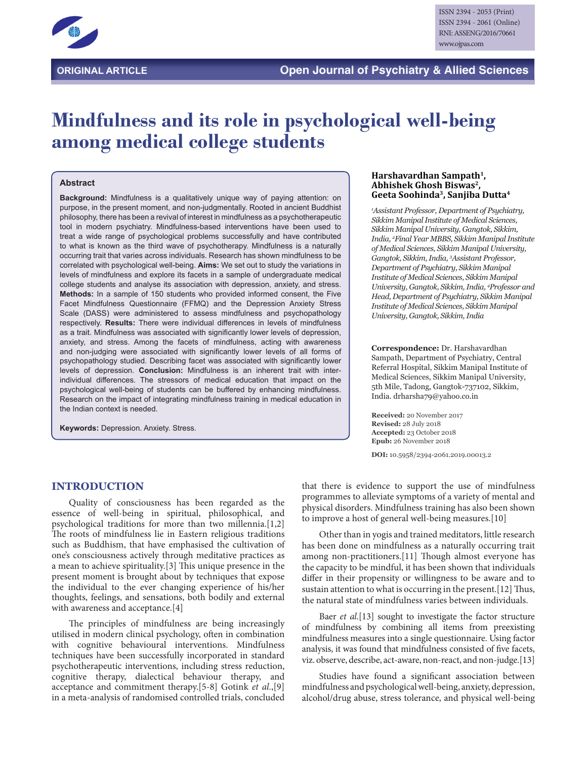

# **Mindfulness and its role in psychological well-being among medical college students**

#### **Abstract**

**Background:** Mindfulness is a qualitatively unique way of paying attention: on purpose, in the present moment, and non-judgmentally. Rooted in ancient Buddhist philosophy, there has been a revival of interest in mindfulness as a psychotherapeutic tool in modern psychiatry. Mindfulness-based interventions have been used to treat a wide range of psychological problems successfully and have contributed to what is known as the third wave of psychotherapy. Mindfulness is a naturally occurring trait that varies across individuals. Research has shown mindfulness to be correlated with psychological well-being. **Aims:** We set out to study the variations in levels of mindfulness and explore its facets in a sample of undergraduate medical college students and analyse its association with depression, anxiety, and stress. **Methods:** In a sample of 150 students who provided informed consent, the Five Facet Mindfulness Questionnaire (FFMQ) and the Depression Anxiety Stress Scale (DASS) were administered to assess mindfulness and psychopathology respectively. **Results:** There were individual differences in levels of mindfulness as a trait. Mindfulness was associated with significantly lower levels of depression, anxiety, and stress. Among the facets of mindfulness, acting with awareness and non-judging were associated with significantly lower levels of all forms of psychopathology studied. Describing facet was associated with significantly lower levels of depression. **Conclusion:** Mindfulness is an inherent trait with interindividual differences. The stressors of medical education that impact on the psychological well-being of students can be buffered by enhancing mindfulness. Research on the impact of integrating mindfulness training in medical education in the Indian context is needed.

**Keywords:** Depression. Anxiety. Stress.

#### **Harshavardhan Sampath1, Abhishek Ghosh Biswas2, Geeta Soohinda3, Sanjiba Dutta4**

*1 Assistant Professor, Department of Psychiatry, Sikkim Manipal Institute of Medical Sciences, Sikkim Manipal University, Gangtok, Sikkim, India, 2 Final Year MBBS, Sikkim Manipal Institute of Medical Sciences, Sikkim Manipal University, Gangtok, Sikkim, India, 3 Assistant Professor, Department of Psychiatry, Sikkim Manipal Institute of Medical Sciences, Sikkim Manipal University, Gangtok, Sikkim, India, 4 Professor and Head, Department of Psychiatry, Sikkim Manipal Institute of Medical Sciences, Sikkim Manipal University, Gangtok, Sikkim, India*

**Correspondence:** Dr. Harshavardhan Sampath, Department of Psychiatry, Central Referral Hospital, Sikkim Manipal Institute of Medical Sciences, Sikkim Manipal University, 5th Mile, Tadong, Gangtok-737102, Sikkim, India. drharsha79@yahoo.co.in

**Received:** 20 November 2017 **Revised:** 28 July 2018 **Accepted:** 23 October 2018 **Epub:** 26 November 2018

**DOI:** 10.5958/2394-2061.2019.00013.2

#### **INTRODUCTION**

Quality of consciousness has been regarded as the essence of well-being in spiritual, philosophical, and psychological traditions for more than two millennia.[1,2] The roots of mindfulness lie in Eastern religious traditions such as Buddhism, that have emphasised the cultivation of one's consciousness actively through meditative practices as a mean to achieve spirituality.[3] This unique presence in the present moment is brought about by techniques that expose the individual to the ever changing experience of his/her thoughts, feelings, and sensations, both bodily and external with awareness and acceptance.[4]

The principles of mindfulness are being increasingly utilised in modern clinical psychology, often in combination with cognitive behavioural interventions. Mindfulness techniques have been successfully incorporated in standard psychotherapeutic interventions, including stress reduction, cognitive therapy, dialectical behaviour therapy, and acceptance and commitment therapy.[5-8] Gotink *et al*.,[9] in a meta-analysis of randomised controlled trials, concluded

that there is evidence to support the use of mindfulness programmes to alleviate symptoms of a variety of mental and physical disorders. Mindfulness training has also been shown to improve a host of general well-being measures.[10]

Other than in yogis and trained meditators, little research has been done on mindfulness as a naturally occurring trait among non-practitioners.[11] Though almost everyone has the capacity to be mindful, it has been shown that individuals differ in their propensity or willingness to be aware and to sustain attention to what is occurring in the present.[12] Thus, the natural state of mindfulness varies between individuals.

Baer *et al*.[13] sought to investigate the factor structure of mindfulness by combining all items from preexisting mindfulness measures into a single questionnaire. Using factor analysis, it was found that mindfulness consisted of five facets, viz. observe, describe, act-aware, non-react, and non-judge.[13]

Studies have found a significant association between mindfulness and psychological well-being, anxiety, depression, alcohol/drug abuse, stress tolerance, and physical well-being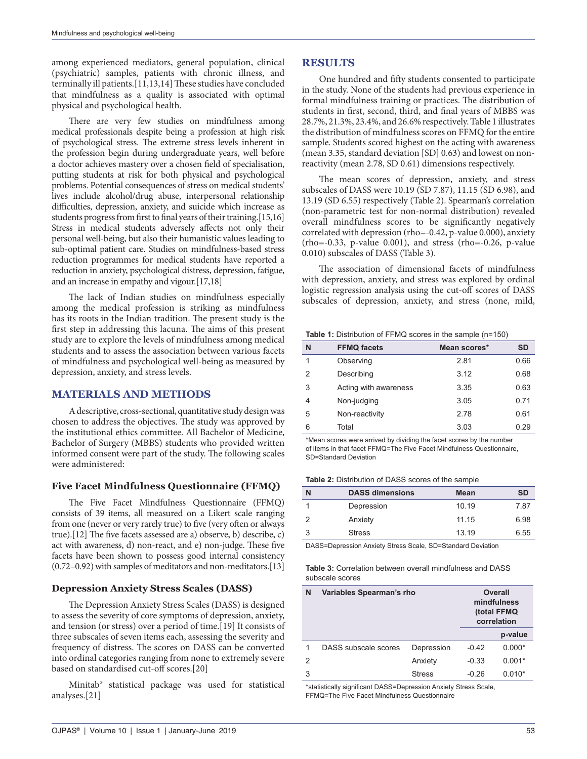among experienced mediators, general population, clinical (psychiatric) samples, patients with chronic illness, and terminally ill patients.[11,13,14] These studies have concluded that mindfulness as a quality is associated with optimal physical and psychological health.

There are very few studies on mindfulness among medical professionals despite being a profession at high risk of psychological stress. The extreme stress levels inherent in the profession begin during undergraduate years, well before a doctor achieves mastery over a chosen field of specialisation, putting students at risk for both physical and psychological problems. Potential consequences of stress on medical students' lives include alcohol/drug abuse, interpersonal relationship difficulties, depression, anxiety, and suicide which increase as students progress from first to final years of their training.[15,16] Stress in medical students adversely affects not only their personal well-being, but also their humanistic values leading to sub-optimal patient care. Studies on mindfulness-based stress reduction programmes for medical students have reported a reduction in anxiety, psychological distress, depression, fatigue, and an increase in empathy and vigour.[17,18]

The lack of Indian studies on mindfulness especially among the medical profession is striking as mindfulness has its roots in the Indian tradition. The present study is the first step in addressing this lacuna. The aims of this present study are to explore the levels of mindfulness among medical students and to assess the association between various facets of mindfulness and psychological well-being as measured by depression, anxiety, and stress levels.

## **MATERIALS AND METHODS**

A descriptive, cross-sectional, quantitative study design was chosen to address the objectives. The study was approved by the institutional ethics committee. All Bachelor of Medicine, Bachelor of Surgery (MBBS) students who provided written informed consent were part of the study. The following scales were administered:

## **Five Facet Mindfulness Questionnaire (FFMQ)**

The Five Facet Mindfulness Questionnaire (FFMQ) consists of 39 items, all measured on a Likert scale ranging from one (never or very rarely true) to five (very often or always true).[12] The five facets assessed are a) observe, b) describe, c) act with awareness, d) non-react, and e) non-judge. These five facets have been shown to possess good internal consistency (0.72–0.92) with samples of meditators and non-meditators.[13]

## **Depression Anxiety Stress Scales (DASS)**

The Depression Anxiety Stress Scales (DASS) is designed to assess the severity of core symptoms of depression, anxiety, and tension (or stress) over a period of time.[19] It consists of three subscales of seven items each, assessing the severity and frequency of distress. The scores on DASS can be converted into ordinal categories ranging from none to extremely severe based on standardised cut-off scores.[20]

Minitab® statistical package was used for statistical analyses.[21]

## **RESULTS**

One hundred and fifty students consented to participate in the study. None of the students had previous experience in formal mindfulness training or practices. The distribution of students in first, second, third, and final years of MBBS was 28.7%, 21.3%, 23.4%, and 26.6% respectively. Table 1 illustrates the distribution of mindfulness scores on FFMQ for the entire sample. Students scored highest on the acting with awareness (mean 3.35, standard deviation [SD] 0.63) and lowest on nonreactivity (mean 2.78, SD 0.61) dimensions respectively.

The mean scores of depression, anxiety, and stress subscales of DASS were 10.19 (SD 7.87), 11.15 (SD 6.98), and 13.19 (SD 6.55) respectively (Table 2). Spearman's correlation (non-parametric test for non-normal distribution) revealed overall mindfulness scores to be significantly negatively correlated with depression (rho=-0.42, p-value 0.000), anxiety (rho=-0.33, p-value 0.001), and stress (rho=-0.26, p-value 0.010) subscales of DASS (Table 3).

The association of dimensional facets of mindfulness with depression, anxiety, and stress was explored by ordinal logistic regression analysis using the cut-off scores of DASS subscales of depression, anxiety, and stress (none, mild,

**Table 1:** Distribution of FFMQ scores in the sample (n=150)

| N | <b>FFMQ facets</b>    | Mean scores* | <b>SD</b> |
|---|-----------------------|--------------|-----------|
|   | Observing             | 2.81         | 0.66      |
| 2 | Describing            | 3.12         | 0.68      |
| 3 | Acting with awareness | 3.35         | 0.63      |
| 4 | Non-judging           | 3.05         | 0.71      |
| 5 | Non-reactivity        | 2.78         | 0.61      |
| 6 | Total                 | 3.03         | 0.29      |

\*Mean scores were arrived by dividing the facet scores by the number of items in that facet FFMQ=The Five Facet Mindfulness Questionnaire, SD=Standard Deviation

**Table 2:** Distribution of DASS scores of the sample

| N | <b>DASS dimensions</b> | <b>Mean</b> | <b>SD</b> |
|---|------------------------|-------------|-----------|
|   | Depression             | 10.19       | 7.87      |
| 2 | Anxiety                | 11.15       | 6.98      |
| 3 | <b>Stress</b>          | 13.19       | 6.55      |

DASS=Depression Anxiety Stress Scale, SD=Standard Deviation

**Table 3:** Correlation between overall mindfulness and DASS subscale scores

| N | Variables Spearman's rho |               | <b>Overall</b><br>mindfulness<br>(total FFMQ<br>correlation |          |
|---|--------------------------|---------------|-------------------------------------------------------------|----------|
|   |                          |               |                                                             | p-value  |
|   | DASS subscale scores     | Depression    | $-0.42$                                                     | $0.000*$ |
| 2 |                          | Anxiety       | $-0.33$                                                     | $0.001*$ |
| 3 |                          | <b>Stress</b> | $-0.26$                                                     | $0.010*$ |

\*statistically significant DASS=Depression Anxiety Stress Scale, FFMQ=The Five Facet Mindfulness Questionnaire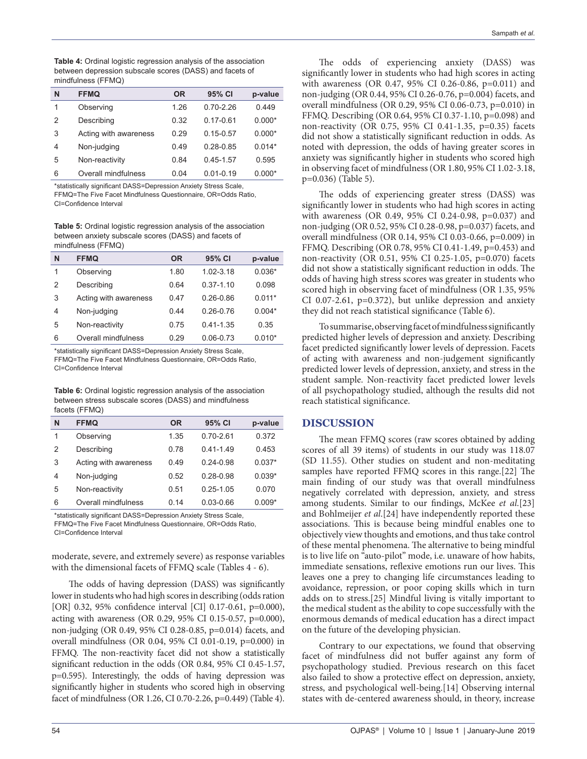**Table 4:** Ordinal logistic regression analysis of the association between depression subscale scores (DASS) and facets of mindfulness (FFMQ)

| N | <b>FFMQ</b>           | <b>OR</b> | 95% CI        | p-value  |
|---|-----------------------|-----------|---------------|----------|
| 1 | Observing             | 1 26      | $0.70 - 2.26$ | 0.449    |
| 2 | Describing            | 0.32      | 0.17-0.61     | $0.000*$ |
| 3 | Acting with awareness | 0.29      | $0.15 - 0.57$ | $0.000*$ |
| 4 | Non-judging           | 0.49      | $0.28 - 0.85$ | $0.014*$ |
| 5 | Non-reactivity        | 0.84      | $0.45 - 1.57$ | 0.595    |
| 6 | Overall mindfulness   | 0.04      | $0.01 - 0.19$ | $0.000*$ |

\*statistically significant DASS=Depression Anxiety Stress Scale, FFMQ=The Five Facet Mindfulness Questionnaire, OR=Odds Ratio, CI=Confidence Interval

**Table 5:** Ordinal logistic regression analysis of the association between anxiety subscale scores (DASS) and facets of mindfulness (FFMQ)

| N              | <b>FFMQ</b>           | <b>OR</b> | 95% CI        | p-value  |
|----------------|-----------------------|-----------|---------------|----------|
| 1              | Observing             | 1.80      | $1.02 - 3.18$ | $0.036*$ |
| 2              | Describing            | 0.64      | $0.37 - 1.10$ | 0.098    |
| 3              | Acting with awareness | 0.47      | $0.26 - 0.86$ | $0.011*$ |
| $\overline{4}$ | Non-judging           | 0.44      | $0.26 - 0.76$ | $0.004*$ |
| 5              | Non-reactivity        | 0.75      | $0.41 - 1.35$ | 0.35     |
| 6              | Overall mindfulness   | 0.29      | $0.06 - 0.73$ | $0.010*$ |

\*statistically significant DASS=Depression Anxiety Stress Scale, FFMQ=The Five Facet Mindfulness Questionnaire, OR=Odds Ratio, CI=Confidence Interval

**Table 6:** Ordinal logistic regression analysis of the association between stress subscale scores (DASS) and mindfulness facets (FFMQ)

| N              | <b>FFMQ</b>           | <b>OR</b> | 95% CI        | p-value  |
|----------------|-----------------------|-----------|---------------|----------|
| 1              | Observing             | 1.35      | 0 70-2 61     | 0.372    |
| $\overline{2}$ | Describing            | 0.78      | $0.41 - 1.49$ | 0.453    |
| 3              | Acting with awareness | 0.49      | $0.24 - 0.98$ | $0.037*$ |
| 4              | Non-judging           | 0.52      | $0.28 - 0.98$ | $0.039*$ |
| 5              | Non-reactivity        | 0.51      | $0.25 - 1.05$ | 0.070    |
| 6              | Overall mindfulness   | 0.14      | $0.03 - 0.66$ | $0.009*$ |

\*statistically significant DASS=Depression Anxiety Stress Scale, FFMQ=The Five Facet Mindfulness Questionnaire, OR=Odds Ratio, CI=Confidence Interval

moderate, severe, and extremely severe) as response variables with the dimensional facets of FFMQ scale (Tables 4 - 6).

The odds of having depression (DASS) was significantly lower in students who had high scores in describing (odds ration [OR] 0.32, 95% confidence interval [CI] 0.17-0.61, p=0.000), acting with awareness (OR 0.29, 95% CI 0.15-0.57, p=0.000), non-judging (OR 0.49, 95% CI 0.28-0.85, p=0.014) facets, and overall mindfulness (OR 0.04, 95% CI 0.01-0.19, p=0.000) in FFMQ. The non-reactivity facet did not show a statistically significant reduction in the odds (OR 0.84, 95% CI 0.45-1.57, p=0.595). Interestingly, the odds of having depression was significantly higher in students who scored high in observing facet of mindfulness (OR 1.26, CI 0.70-2.26, p=0.449) (Table 4).

The odds of experiencing anxiety (DASS) was significantly lower in students who had high scores in acting with awareness (OR 0.47, 95% CI 0.26-0.86, p=0.011) and non-judging (OR 0.44, 95% CI 0.26-0.76, p=0.004) facets, and overall mindfulness (OR 0.29, 95% CI 0.06-0.73, p=0.010) in FFMQ. Describing (OR 0.64, 95% CI 0.37-1.10, p=0.098) and non-reactivity (OR 0.75, 95% CI 0.41-1.35, p=0.35) facets did not show a statistically significant reduction in odds. As noted with depression, the odds of having greater scores in anxiety was significantly higher in students who scored high in observing facet of mindfulness (OR 1.80, 95% CI 1.02-3.18, p=0.036) (Table 5).

The odds of experiencing greater stress (DASS) was significantly lower in students who had high scores in acting with awareness (OR 0.49, 95% CI 0.24-0.98, p=0.037) and non-judging (OR 0.52, 95% CI 0.28-0.98, p=0.037) facets, and overall mindfulness (OR 0.14, 95% CI 0.03-0.66, p=0.009) in FFMQ. Describing (OR 0.78, 95% CI 0.41-1.49, p=0.453) and non-reactivity (OR 0.51, 95% CI 0.25-1.05, p=0.070) facets did not show a statistically significant reduction in odds. The odds of having high stress scores was greater in students who scored high in observing facet of mindfulness (OR 1.35, 95% CI 0.07-2.61, p=0.372), but unlike depression and anxiety they did not reach statistical significance (Table 6).

To summarise, observing facet of mindfulness significantly predicted higher levels of depression and anxiety. Describing facet predicted significantly lower levels of depression. Facets of acting with awareness and non-judgement significantly predicted lower levels of depression, anxiety, and stress in the student sample. Non-reactivity facet predicted lower levels of all psychopathology studied, although the results did not reach statistical significance.

## **DISCUSSION**

The mean FFMQ scores (raw scores obtained by adding scores of all 39 items) of students in our study was 118.07 (SD 11.55). Other studies on student and non-meditating samples have reported FFMQ scores in this range.[22] The main finding of our study was that overall mindfulness negatively correlated with depression, anxiety, and stress among students. Similar to our findings, McKee *et al*.[23] and Bohlmeijer *et al*.[24] have independently reported these associations. This is because being mindful enables one to objectively view thoughts and emotions, and thus take control of these mental phenomena. The alternative to being mindful is to live life on "auto-pilot" mode, i.e. unaware of how habits, immediate sensations, reflexive emotions run our lives. This leaves one a prey to changing life circumstances leading to avoidance, repression, or poor coping skills which in turn adds on to stress.[25] Mindful living is vitally important to the medical student as the ability to cope successfully with the enormous demands of medical education has a direct impact on the future of the developing physician.

Contrary to our expectations, we found that observing facet of mindfulness did not buffer against any form of psychopathology studied. Previous research on this facet also failed to show a protective effect on depression, anxiety, stress, and psychological well-being.[14] Observing internal states with de-centered awareness should, in theory, increase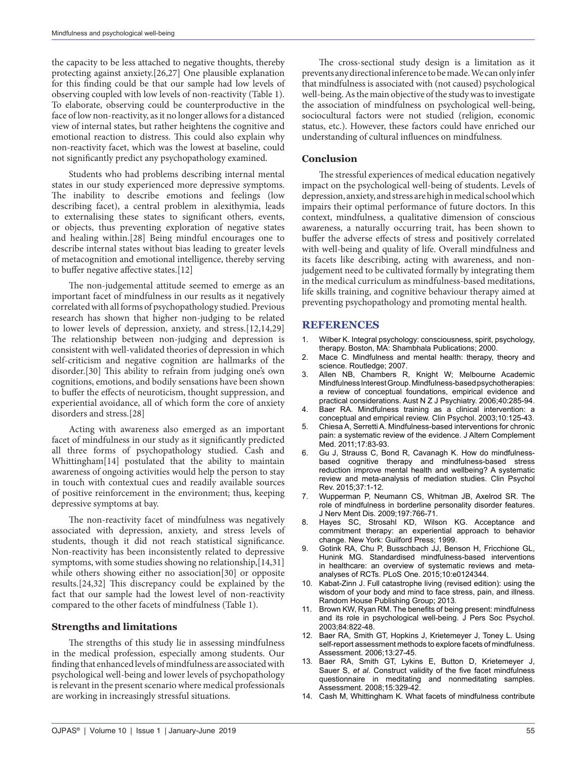the capacity to be less attached to negative thoughts, thereby protecting against anxiety.[26,27] One plausible explanation for this finding could be that our sample had low levels of observing coupled with low levels of non-reactivity (Table 1). To elaborate, observing could be counterproductive in the face of low non-reactivity, as it no longer allows for a distanced view of internal states, but rather heightens the cognitive and emotional reaction to distress. This could also explain why non-reactivity facet, which was the lowest at baseline, could not significantly predict any psychopathology examined.

Students who had problems describing internal mental states in our study experienced more depressive symptoms. The inability to describe emotions and feelings (low describing facet), a central problem in alexithymia, leads to externalising these states to significant others, events, or objects, thus preventing exploration of negative states and healing within.[28] Being mindful encourages one to describe internal states without bias leading to greater levels of metacognition and emotional intelligence, thereby serving to buffer negative affective states.[12]

The non-judgemental attitude seemed to emerge as an important facet of mindfulness in our results as it negatively correlated with all forms of psychopathology studied. Previous research has shown that higher non-judging to be related to lower levels of depression, anxiety, and stress.[12,14,29] The relationship between non-judging and depression is consistent with well-validated theories of depression in which self-criticism and negative cognition are hallmarks of the disorder.[30] This ability to refrain from judging one's own cognitions, emotions, and bodily sensations have been shown to buffer the effects of neuroticism, thought suppression, and experiential avoidance, all of which form the core of anxiety disorders and stress.[28]

Acting with awareness also emerged as an important facet of mindfulness in our study as it significantly predicted all three forms of psychopathology studied. Cash and Whittingham[14] postulated that the ability to maintain awareness of ongoing activities would help the person to stay in touch with contextual cues and readily available sources of positive reinforcement in the environment; thus, keeping depressive symptoms at bay.

The non-reactivity facet of mindfulness was negatively associated with depression, anxiety, and stress levels of students, though it did not reach statistical significance. Non-reactivity has been inconsistently related to depressive symptoms, with some studies showing no relationship,[14,31] while others showing either no association[30] or opposite results.[24,32] This discrepancy could be explained by the fact that our sample had the lowest level of non-reactivity compared to the other facets of mindfulness (Table 1).

#### **Strengths and limitations**

The strengths of this study lie in assessing mindfulness in the medical profession, especially among students. Our finding that enhanced levels of mindfulness are associated with psychological well-being and lower levels of psychopathology is relevant in the present scenario where medical professionals are working in increasingly stressful situations.

The cross-sectional study design is a limitation as it prevents any directional inference to be made. We can only infer that mindfulness is associated with (not caused) psychological well-being. As the main objective of the study was to investigate the association of mindfulness on psychological well-being, sociocultural factors were not studied (religion, economic status, etc.). However, these factors could have enriched our understanding of cultural influences on mindfulness.

#### **Conclusion**

The stressful experiences of medical education negatively impact on the psychological well-being of students. Levels of depression, anxiety, and stress are high in medical school which impairs their optimal performance of future doctors. In this context, mindfulness, a qualitative dimension of conscious awareness, a naturally occurring trait, has been shown to buffer the adverse effects of stress and positively correlated with well-being and quality of life. Overall mindfulness and its facets like describing, acting with awareness, and nonjudgement need to be cultivated formally by integrating them in the medical curriculum as mindfulness-based meditations, life skills training, and cognitive behaviour therapy aimed at preventing psychopathology and promoting mental health.

## **REFERENCES**

- 1. Wilber K. Integral psychology: consciousness, spirit, psychology, therapy. Boston, MA: Shambhala Publications; 2000.
- 2. Mace C. Mindfulness and mental health: therapy, theory and science. Routledge; 2007.
- 3. Allen NB, Chambers R, Knight W; Melbourne Academic Mindfulness Interest Group. Mindfulness-based psychotherapies: a review of conceptual foundations, empirical evidence and practical considerations. Aust N Z J Psychiatry. 2006;40:285-94.
- 4. Baer RA. Mindfulness training as a clinical intervention: a conceptual and empirical review. Clin Psychol. 2003;10:125-43.
- 5. Chiesa A, Serretti A. Mindfulness-based interventions for chronic pain: a systematic review of the evidence. J Altern Complement Med. 2011;17:83-93.
- 6. Gu J, Strauss C, Bond R, Cavanagh K. How do mindfulnessbased cognitive therapy and mindfulness-based stress reduction improve mental health and wellbeing? A systematic review and meta-analysis of mediation studies. Clin Psychol Rev. 2015;37:1-12.
- 7. Wupperman P, Neumann CS, Whitman JB, Axelrod SR. The role of mindfulness in borderline personality disorder features. J Nerv Ment Dis. 2009;197:766-71.
- 8. Hayes SC, Strosahl KD, Wilson KG. Acceptance and commitment therapy: an experiential approach to behavior change. New York: Guilford Press; 1999.
- 9. Gotink RA, Chu P, Busschbach JJ, Benson H, Fricchione GL, Hunink MG. Standardised mindfulness-based interventions in healthcare: an overview of systematic reviews and metaanalyses of RCTs. PLoS One. 2015;10:e0124344.
- 10. Kabat-Zinn J. Full catastrophe living (revised edition): using the wisdom of your body and mind to face stress, pain, and illness. Random House Publishing Group; 2013.
- 11. Brown KW, Ryan RM. The benefits of being present: mindfulness and its role in psychological well-being. J Pers Soc Psychol. 2003;84:822-48.
- 12. Baer RA, Smith GT, Hopkins J, Krietemeyer J, Toney L. Using self-report assessment methods to explore facets of mindfulness. Assessment. 2006;13:27-45.
- 13. Baer RA, Smith GT, Lykins E, Button D, Krietemeyer J, Sauer S, *et al*. Construct validity of the five facet mindfulness questionnaire in meditating and nonmeditating samples. Assessment. 2008;15:329-42.
- 14. Cash M, Whittingham K. What facets of mindfulness contribute